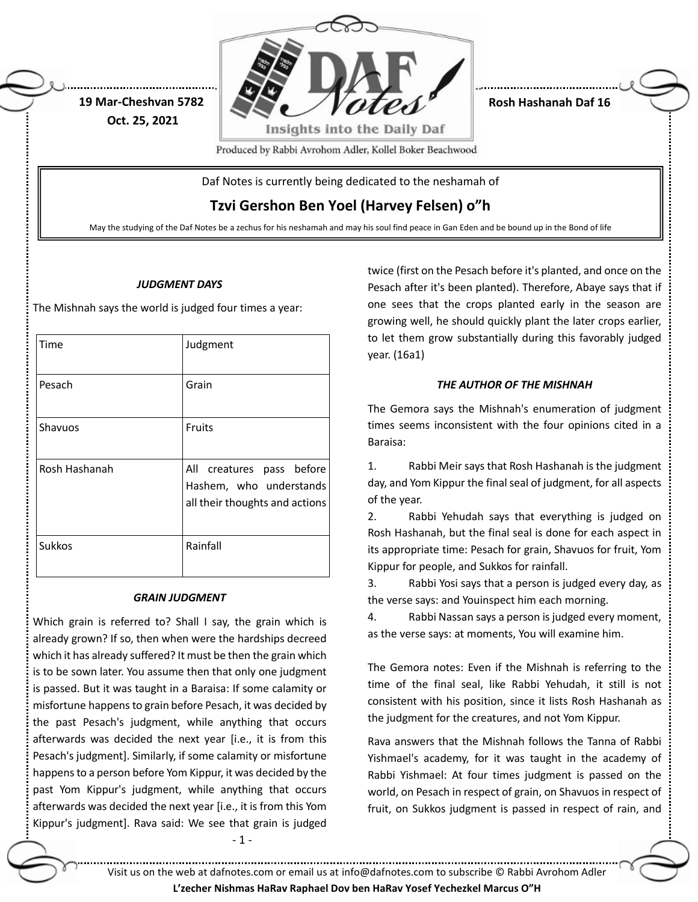

**Rosh Hashanah Daf 16**

Produced by Rabbi Avrohom Adler, Kollel Boker Beachwood

Daf Notes is currently being dedicated to the neshamah of

**Tzvi Gershon Ben Yoel (Harvey Felsen) o"h**

May the studying of the Daf Notes be a zechus for his neshamah and may his soul find peace in Gan Eden and be bound up in the Bond of life

## *JUDGMENT DAYS*

The Mishnah says the world is judged four times a year:

**19 Mar-Cheshvan 5782 Oct. 25, 2021**

| Time          | Judgment                                                                               |
|---------------|----------------------------------------------------------------------------------------|
| Pesach        | Grain                                                                                  |
| Shavuos       | Fruits                                                                                 |
| Rosh Hashanah | All creatures pass before<br>Hashem, who understands<br>all their thoughts and actions |
| Sukkos        | Rainfall                                                                               |

### *GRAIN JUDGMENT*

Which grain is referred to? Shall I say, the grain which is already grown? If so, then when were the hardships decreed which it has already suffered? It must be then the grain which is to be sown later. You assume then that only one judgment is passed. But it was taught in a Baraisa: If some calamity or misfortune happens to grain before Pesach, it was decided by the past Pesach's judgment, while anything that occurs afterwards was decided the next year [i.e., it is from this Pesach's judgment]. Similarly, if some calamity or misfortune happens to a person before Yom Kippur, it was decided by the past Yom Kippur's judgment, while anything that occurs afterwards was decided the next year [i.e., it is from this Yom Kippur's judgment]. Rava said: We see that grain is judged

- 1 -

twice (first on the Pesach before it's planted, and once on the Pesach after it's been planted). Therefore, Abaye says that if one sees that the crops planted early in the season are growing well, he should quickly plant the later crops earlier, to let them grow substantially during this favorably judged year. (16a1)

# *THE AUTHOR OF THE MISHNAH*

The Gemora says the Mishnah's enumeration of judgment times seems inconsistent with the four opinions cited in a Baraisa:

1. Rabbi Meir says that Rosh Hashanah is the judgment day, and Yom Kippur the final seal of judgment, for all aspects of the year.

2. Rabbi Yehudah says that everything is judged on Rosh Hashanah, but the final seal is done for each aspect in its appropriate time: Pesach for grain, Shavuos for fruit, Yom Kippur for people, and Sukkos for rainfall.

3. Rabbi Yosi says that a person is judged every day, as the verse says: and Youinspect him each morning.

4. Rabbi Nassan says a person is judged every moment, as the verse says: at moments, You will examine him.

The Gemora notes: Even if the Mishnah is referring to the time of the final seal, like Rabbi Yehudah, it still is not consistent with his position, since it lists Rosh Hashanah as the judgment for the creatures, and not Yom Kippur.

Rava answers that the Mishnah follows the Tanna of Rabbi Yishmael's academy, for it was taught in the academy of Rabbi Yishmael: At four times judgment is passed on the world, on Pesach in respect of grain, on Shavuos in respect of fruit, on Sukkos judgment is passed in respect of rain, and

Visit us on the web at dafnotes.com or email us at [info@dafnotes.com](mailto:info@dafnotes.com) to subscribe © Rabbi Avrohom Adler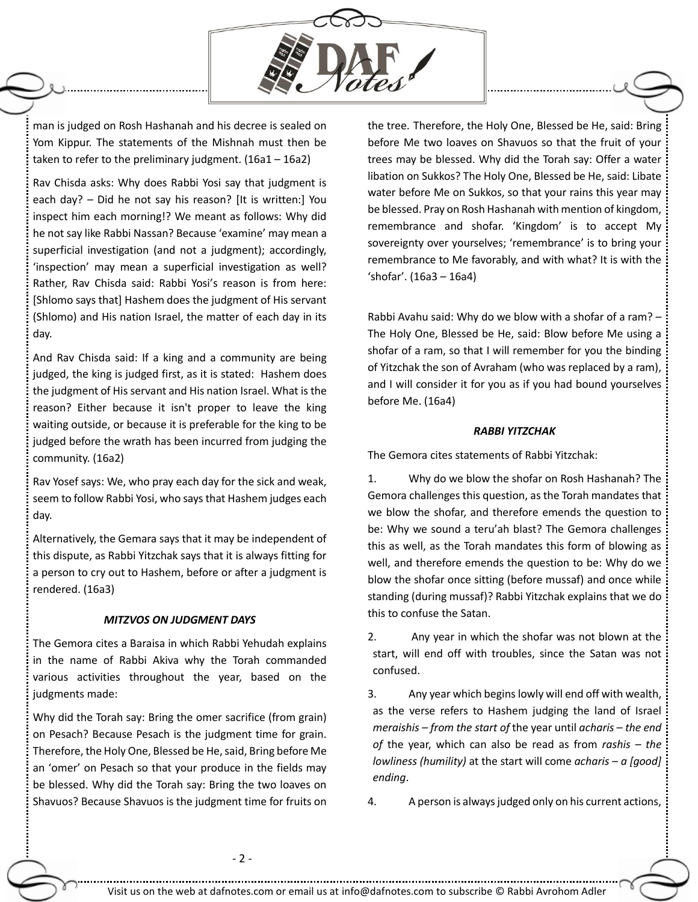

man is judged on Rosh Hashanah and his decree is sealed on Yom Kippur. The statements of the Mishnah must then be taken to refer to the preliminary judgment. (16a1 – 16a2)

Rav Chisda asks: Why does Rabbi Yosi say that judgment is each day? – Did he not say his reason? [It is written:] You inspect him each morning!? We meant as follows: Why did he not say like Rabbi Nassan? Because 'examine' may mean a superficial investigation (and not a judgment); accordingly, 'inspection' may mean a superficial investigation as well? Rather, Rav Chisda said: Rabbi Yosi's reason is from here: [Shlomo says that] Hashem does the judgment of His servant (Shlomo) and His nation Israel, the matter of each day in its day.

And Rav Chisda said: If a king and a community are being judged, the king is judged first, as it is stated: Hashem does the judgment of His servant and His nation Israel. What is the reason? Either because it isn't proper to leave the king waiting outside, or because it is preferable for the king to be judged before the wrath has been incurred from judging the community. (16a2)

Rav Yosef says: We, who pray each day for the sick and weak, seem to follow Rabbi Yosi, who says that Hashem judges each day.

Alternatively, the Gemara says that it may be independent of this dispute, as Rabbi Yitzchak says that it is always fitting for a person to cry out to Hashem, before or after a judgment is rendered. (16a3)

# *MITZVOS ON JUDGMENT DAYS*

The Gemora cites a Baraisa in which Rabbi Yehudah explains in the name of Rabbi Akiva why the Torah commanded various activities throughout the year, based on the judgments made:

Why did the Torah say: Bring the omer sacrifice (from grain) on Pesach? Because Pesach is the judgment time for grain. Therefore, the Holy One, Blessed be He, said, Bring before Me an 'omer' on Pesach so that your produce in the fields may be blessed. Why did the Torah say: Bring the two loaves on Shavuos? Because Shavuos is the judgment time for fruits on the tree. Therefore, the Holy One, Blessed be He, said: Bring before Me two loaves on Shavuos so that the fruit of your trees may be blessed. Why did the Torah say: Offer a water libation on Sukkos? The Holy One, Blessed be He, said: Libate water before Me on Sukkos, so that your rains this year may be blessed. Pray on Rosh Hashanah with mention of kingdom, remembrance and shofar. 'Kingdom' is to accept My sovereignty over yourselves; 'remembrance' is to bring your remembrance to Me favorably, and with what? It is with the 'shofar'. (16a3 – 16a4)

Rabbi Avahu said: Why do we blow with a shofar of a ram? – The Holy One, Blessed be He, said: Blow before Me using a shofar of a ram, so that I will remember for you the binding of Yitzchak the son of Avraham (who was replaced by a ram), and I will consider it for you as if you had bound yourselves before Me. (16a4)

## *RABBI YITZCHAK*

The Gemora cites statements of Rabbi Yitzchak:

1. Why do we blow the shofar on Rosh Hashanah? The Gemora challenges this question, as the Torah mandates that we blow the shofar, and therefore emends the question to be: Why we sound a teru'ah blast? The Gemora challenges this as well, as the Torah mandates this form of blowing as well, and therefore emends the question to be: Why do we blow the shofar once sitting (before mussaf) and once while standing (during mussaf)? Rabbi Yitzchak explains that we do this to confuse the Satan.

- 2. Any year in which the shofar was not blown at the start, will end off with troubles, since the Satan was not confused.
- 3. Any year which begins lowly will end off with wealth, as the verse refers to Hashem judging the land of Israel *meraishis – from the start of* the year until *acharis – the end of* the year, which can also be read as from *rashis – the lowliness (humility)* at the start will come *acharis – a [good] ending*.

4. A person is always judged only on his current actions,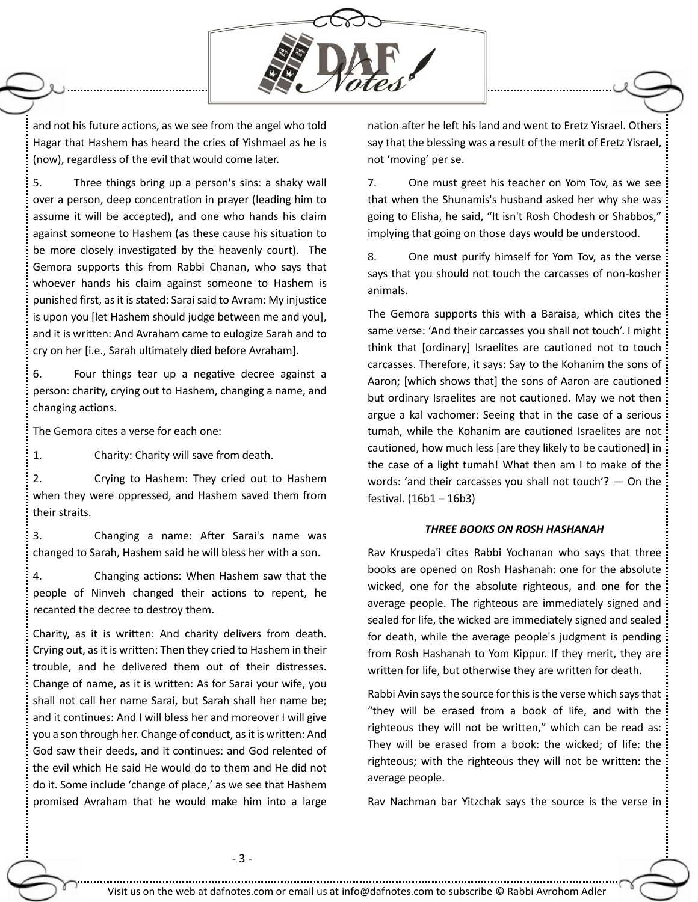

and not his future actions, as we see from the angel who told Hagar that Hashem has heard the cries of Yishmael as he is (now), regardless of the evil that would come later.

5. Three things bring up a person's sins: a shaky wall over a person, deep concentration in prayer (leading him to assume it will be accepted), and one who hands his claim against someone to Hashem (as these cause his situation to be more closely investigated by the heavenly court). The Gemora supports this from Rabbi Chanan, who says that whoever hands his claim against someone to Hashem is punished first, as it is stated: Sarai said to Avram: My injustice is upon you [let Hashem should judge between me and you], and it is written: And Avraham came to eulogize Sarah and to cry on her [i.e., Sarah ultimately died before Avraham].

6. Four things tear up a negative decree against a person: charity, crying out to Hashem, changing a name, and changing actions.

The Gemora cites a verse for each one:

1. Charity: Charity will save from death.

2. Crying to Hashem: They cried out to Hashem when they were oppressed, and Hashem saved them from their straits.

3. Changing a name: After Sarai's name was changed to Sarah, Hashem said he will bless her with a son.

4. Changing actions: When Hashem saw that the people of Ninveh changed their actions to repent, he recanted the decree to destroy them.

Charity, as it is written: And charity delivers from death. Crying out, as it is written: Then they cried to Hashem in their trouble, and he delivered them out of their distresses. Change of name, as it is written: As for Sarai your wife, you shall not call her name Sarai, but Sarah shall her name be; and it continues: And I will bless her and moreover I will give you a son through her. Change of conduct, as it is written: And God saw their deeds, and it continues: and God relented of the evil which He said He would do to them and He did not do it. Some include 'change of place,' as we see that Hashem promised Avraham that he would make him into a large nation after he left his land and went to Eretz Yisrael. Others say that the blessing was a result of the merit of Eretz Yisrael, not 'moving' per se.

7. One must greet his teacher on Yom Tov, as we see that when the Shunamis's husband asked her why she was going to Elisha, he said, "It isn't Rosh Chodesh or Shabbos," implying that going on those days would be understood.

8. One must purify himself for Yom Tov, as the verse says that you should not touch the carcasses of non-kosher animals.

The Gemora supports this with a Baraisa, which cites the same verse: 'And their carcasses you shall not touch'. I might think that [ordinary] Israelites are cautioned not to touch carcasses. Therefore, it says: Say to the Kohanim the sons of Aaron; [which shows that] the sons of Aaron are cautioned but ordinary Israelites are not cautioned. May we not then argue a kal vachomer: Seeing that in the case of a serious tumah, while the Kohanim are cautioned Israelites are not cautioned, how much less [are they likely to be cautioned] in the case of a light tumah! What then am I to make of the words: 'and their carcasses you shall not touch'? — On the festival. (16b1 – 16b3)

#### *THREE BOOKS ON ROSH HASHANAH*

Rav Kruspeda'i cites Rabbi Yochanan who says that three books are opened on Rosh Hashanah: one for the absolute wicked, one for the absolute righteous, and one for the average people. The righteous are immediately signed and sealed for life, the wicked are immediately signed and sealed for death, while the average people's judgment is pending from Rosh Hashanah to Yom Kippur. If they merit, they are written for life, but otherwise they are written for death.

Rabbi Avin says the source for this is the verse which says that "they will be erased from a book of life, and with the righteous they will not be written," which can be read as: They will be erased from a book: the wicked; of life: the righteous; with the righteous they will not be written: the average people.

Rav Nachman bar Yitzchak says the source is the verse in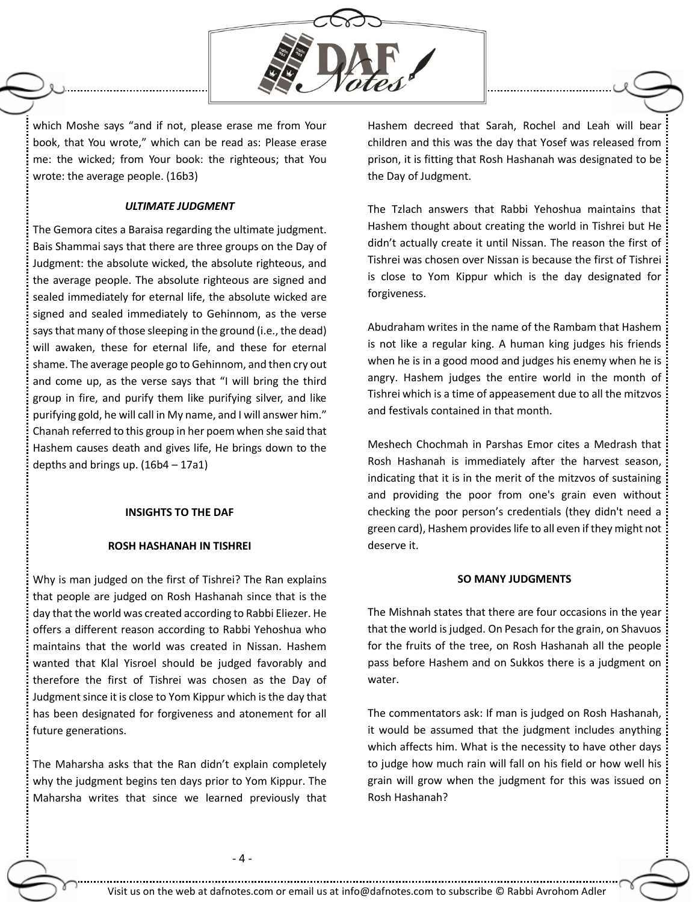

which Moshe says "and if not, please erase me from Your book, that You wrote," which can be read as: Please erase me: the wicked; from Your book: the righteous; that You wrote: the average people. (16b3)

## *ULTIMATE JUDGMENT*

The Gemora cites a Baraisa regarding the ultimate judgment. Bais Shammai says that there are three groups on the Day of Judgment: the absolute wicked, the absolute righteous, and the average people. The absolute righteous are signed and sealed immediately for eternal life, the absolute wicked are signed and sealed immediately to Gehinnom, as the verse says that many of those sleeping in the ground (i.e., the dead) will awaken, these for eternal life, and these for eternal shame. The average people go to Gehinnom, and then cry out and come up, as the verse says that "I will bring the third group in fire, and purify them like purifying silver, and like purifying gold, he will call in My name, and I will answer him." Chanah referred to this group in her poem when she said that Hashem causes death and gives life, He brings down to the depths and brings up.  $(16b4 - 17a1)$ 

#### **INSIGHTS TO THE DAF**

# **ROSH HASHANAH IN TISHREI**

Why is man judged on the first of Tishrei? The Ran explains that people are judged on Rosh Hashanah since that is the day that the world was created according to Rabbi Eliezer. He offers a different reason according to Rabbi Yehoshua who maintains that the world was created in Nissan. Hashem wanted that Klal Yisroel should be judged favorably and therefore the first of Tishrei was chosen as the Day of Judgment since it is close to Yom Kippur which is the day that has been designated for forgiveness and atonement for all future generations.

The Maharsha asks that the Ran didn't explain completely why the judgment begins ten days prior to Yom Kippur. The Maharsha writes that since we learned previously that Hashem decreed that Sarah, Rochel and Leah will bear children and this was the day that Yosef was released from prison, it is fitting that Rosh Hashanah was designated to be the Day of Judgment.

The Tzlach answers that Rabbi Yehoshua maintains that Hashem thought about creating the world in Tishrei but He didn't actually create it until Nissan. The reason the first of Tishrei was chosen over Nissan is because the first of Tishrei is close to Yom Kippur which is the day designated for forgiveness.

Abudraham writes in the name of the Rambam that Hashem is not like a regular king. A human king judges his friends when he is in a good mood and judges his enemy when he is angry. Hashem judges the entire world in the month of Tishrei which is a time of appeasement due to all the mitzvos and festivals contained in that month.

Meshech Chochmah in Parshas Emor cites a Medrash that Rosh Hashanah is immediately after the harvest season, indicating that it is in the merit of the mitzvos of sustaining and providing the poor from one's grain even without checking the poor person's credentials (they didn't need a green card), Hashem provides life to all even if they might not deserve it.

# **SO MANY JUDGMENTS**

The Mishnah states that there are four occasions in the year that the world is judged. On Pesach for the grain, on Shavuos for the fruits of the tree, on Rosh Hashanah all the people pass before Hashem and on Sukkos there is a judgment on water.

The commentators ask: If man is judged on Rosh Hashanah, it would be assumed that the judgment includes anything which affects him. What is the necessity to have other days to judge how much rain will fall on his field or how well his grain will grow when the judgment for this was issued on Rosh Hashanah?